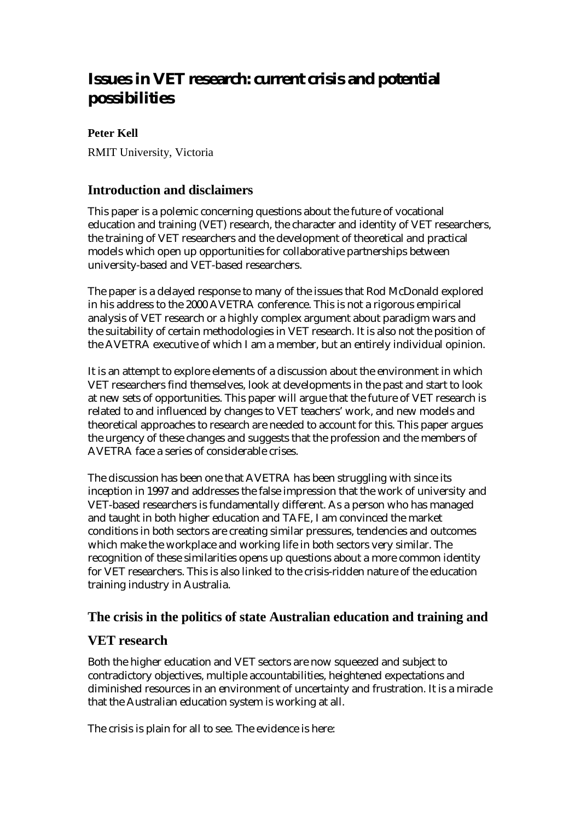# **Issues in VET research: current crisis and potential possibilities**

## **Peter Kell**

RMIT University, Victoria

## **Introduction and disclaimers**

This paper is a polemic concerning questions about the future of vocational education and training (VET) research, the character and identity of VET researchers, the training of VET researchers and the development of theoretical and practical models which open up opportunities for collaborative partnerships between university-based and VET-based researchers.

The paper is a delayed response to many of the issues that Rod McDonald explored in his address to the 2000 AVETRA conference. This is not a rigorous empirical analysis of VET research or a highly complex argument about paradigm wars and the suitability of certain methodologies in VET research. It is also not the position of the AVETRA executive of which I am a member, but an entirely individual opinion.

It is an attempt to explore elements of a discussion about the environment in which VET researchers find themselves, look at developments in the past and start to look at new sets of opportunities. This paper will argue that the future of VET research is related to and influenced by changes to VET teachers' work, and new models and theoretical approaches to research are needed to account for this. This paper argues the urgency of these changes and suggests that the profession and the members of AVETRA face a series of considerable crises.

The discussion has been one that AVETRA has been struggling with since its inception in 1997 and addresses the false impression that the work of university and VET-based researchers is fundamentally different. As a person who has managed and taught in both higher education and TAFE, I am convinced the market conditions in both sectors are creating similar pressures, tendencies and outcomes which make the workplace and working life in both sectors very similar. The recognition of these similarities opens up questions about a more common identity for VET researchers. This is also linked to the crisis-ridden nature of the education training industry in Australia.

## **The crisis in the politics of state Australian education and training and**

## **VET research**

Both the higher education and VET sectors are now squeezed and subject to contradictory objectives, multiple accountabilities, heightened expectations and diminished resources in an environment of uncertainty and frustration. It is a miracle that the Australian education system is working at all.

The crisis is plain for all to see. The evidence is here: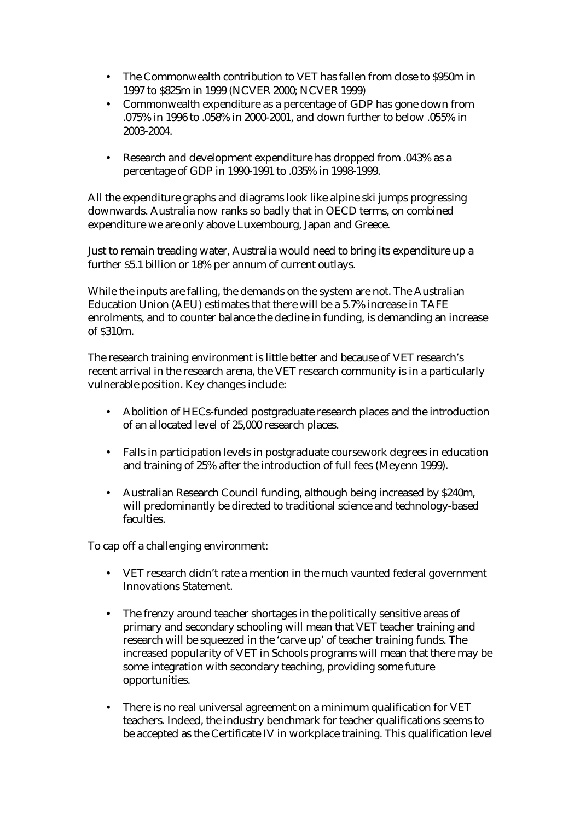- The Commonwealth contribution to VET has fallen from close to \$950m in 1997 to \$825m in 1999 (NCVER 2000; NCVER 1999)
- Commonwealth expenditure as a percentage of GDP has gone down from .075% in 1996 to .058% in 2000-2001, and down further to below .055% in 2003-2004.
- Research and development expenditure has dropped from .043% as a percentage of GDP in 1990-1991 to .035% in 1998-1999.

All the expenditure graphs and diagrams look like alpine ski jumps progressing downwards. Australia now ranks so badly that in OECD terms, on combined expenditure we are only above Luxembourg, Japan and Greece.

Just to remain treading water, Australia would need to bring its expenditure up a further \$5.1 billion or 18% per annum of current outlays.

While the inputs are falling, the demands on the system are not. The Australian Education Union (AEU) estimates that there will be a 5.7% increase in TAFE enrolments, and to counter balance the decline in funding, is demanding an increase of \$310m.

The research training environment is little better and because of VET research's recent arrival in the research arena, the VET research community is in a particularly vulnerable position. Key changes include:

- Abolition of HECs-funded postgraduate research places and the introduction of an allocated level of 25,000 research places.
- Falls in participation levels in postgraduate coursework degrees in education and training of 25% after the introduction of full fees (Meyenn 1999).
- Australian Research Council funding, although being increased by \$240m, will predominantly be directed to traditional science and technology-based faculties.

To cap off a challenging environment:

- VET research didn't rate a mention in the much vaunted federal government Innovations Statement.
- The frenzy around teacher shortages in the politically sensitive areas of primary and secondary schooling will mean that VET teacher training and research will be squeezed in the 'carve up' of teacher training funds. The increased popularity of VET in Schools programs will mean that there may be some integration with secondary teaching, providing some future opportunities.
- There is no real universal agreement on a minimum qualification for VET teachers. Indeed, the industry benchmark for teacher qualifications seems to be accepted as the Certificate IV in workplace training. This qualification level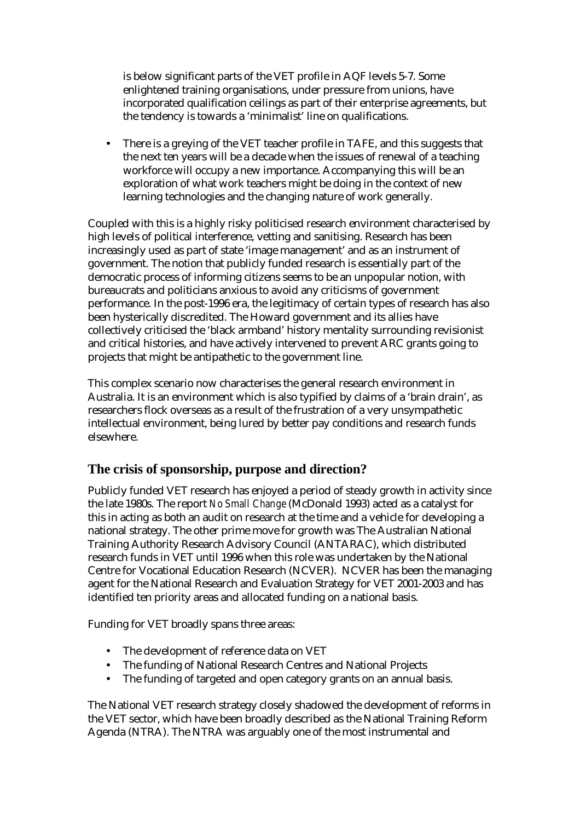is below significant parts of the VET profile in AQF levels 5-7. Some enlightened training organisations, under pressure from unions, have incorporated qualification ceilings as part of their enterprise agreements, but the tendency is towards a 'minimalist' line on qualifications.

• There is a greying of the VET teacher profile in TAFE, and this suggests that the next ten years will be a decade when the issues of renewal of a teaching workforce will occupy a new importance. Accompanying this will be an exploration of what work teachers might be doing in the context of new learning technologies and the changing nature of work generally.

Coupled with this is a highly risky politicised research environment characterised by high levels of political interference, vetting and sanitising. Research has been increasingly used as part of state 'image management' and as an instrument of government. The notion that publicly funded research is essentially part of the democratic process of informing citizens seems to be an unpopular notion, with bureaucrats and politicians anxious to avoid any criticisms of government performance. In the post-1996 era, the legitimacy of certain types of research has also been hysterically discredited. The Howard government and its allies have collectively criticised the 'black armband' history mentality surrounding revisionist and critical histories, and have actively intervened to prevent ARC grants going to projects that might be antipathetic to the government line.

This complex scenario now characterises the general research environment in Australia. It is an environment which is also typified by claims of a 'brain drain', as researchers flock overseas as a result of the frustration of a very unsympathetic intellectual environment, being lured by better pay conditions and research funds elsewhere.

# **The crisis of sponsorship, purpose and direction?**

Publicly funded VET research has enjoyed a period of steady growth in activity since the late 1980s. The report *No Small Change* (McDonald 1993) acted as a catalyst for this in acting as both an audit on research at the time and a vehicle for developing a national strategy. The other prime move for growth was The Australian National Training Authority Research Advisory Council (ANTARAC), which distributed research funds in VET until 1996 when this role was undertaken by the National Centre for Vocational Education Research (NCVER). NCVER has been the managing agent for the National Research and Evaluation Strategy for VET 2001-2003 and has identified ten priority areas and allocated funding on a national basis.

Funding for VET broadly spans three areas:

- The development of reference data on VET
- The funding of National Research Centres and National Projects
- The funding of targeted and open category grants on an annual basis.

The National VET research strategy closely shadowed the development of reforms in the VET sector, which have been broadly described as the National Training Reform Agenda (NTRA). The NTRA was arguably one of the most instrumental and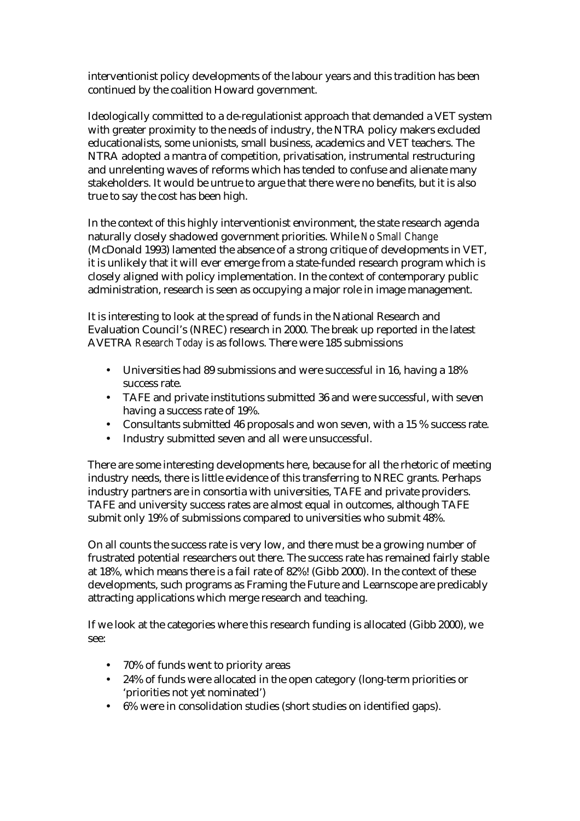interventionist policy developments of the labour years and this tradition has been continued by the coalition Howard government.

Ideologically committed to a de-regulationist approach that demanded a VET system with greater proximity to the needs of industry, the NTRA policy makers excluded educationalists, some unionists, small business, academics and VET teachers. The NTRA adopted a mantra of competition, privatisation, instrumental restructuring and unrelenting waves of reforms which has tended to confuse and alienate many stakeholders. It would be untrue to argue that there were no benefits, but it is also true to say the cost has been high.

In the context of this highly interventionist environment, the state research agenda naturally closely shadowed government priorities. While *No Small Change* (McDonald 1993) lamented the absence of a strong critique of developments in VET, it is unlikely that it will ever emerge from a state-funded research program which is closely aligned with policy implementation. In the context of contemporary public administration, research is seen as occupying a major role in image management.

It is interesting to look at the spread of funds in the National Research and Evaluation Council's (NREC) research in 2000. The break up reported in the latest AVETRA *Research Today* is as follows. There were 185 submissions

- Universities had 89 submissions and were successful in 16, having a 18% success rate.
- TAFE and private institutions submitted 36 and were successful, with seven having a success rate of 19%.
- Consultants submitted 46 proposals and won seven, with a 15 % success rate.
- Industry submitted seven and all were unsuccessful.

There are some interesting developments here, because for all the rhetoric of meeting industry needs, there is little evidence of this transferring to NREC grants. Perhaps industry partners are in consortia with universities, TAFE and private providers. TAFE and university success rates are almost equal in outcomes, although TAFE submit only 19% of submissions compared to universities who submit 48%.

On all counts the success rate is very low, and there must be a growing number of frustrated potential researchers out there. The success rate has remained fairly stable at 18%, which means there is a fail rate of 82%! (Gibb 2000). In the context of these developments, such programs as Framing the Future and Learnscope are predicably attracting applications which merge research and teaching.

If we look at the categories where this research funding is allocated (Gibb 2000), we see:

- 70% of funds went to priority areas
- 24% of funds were allocated in the open category (long-term priorities or 'priorities not yet nominated')
- 6% were in consolidation studies (short studies on identified gaps).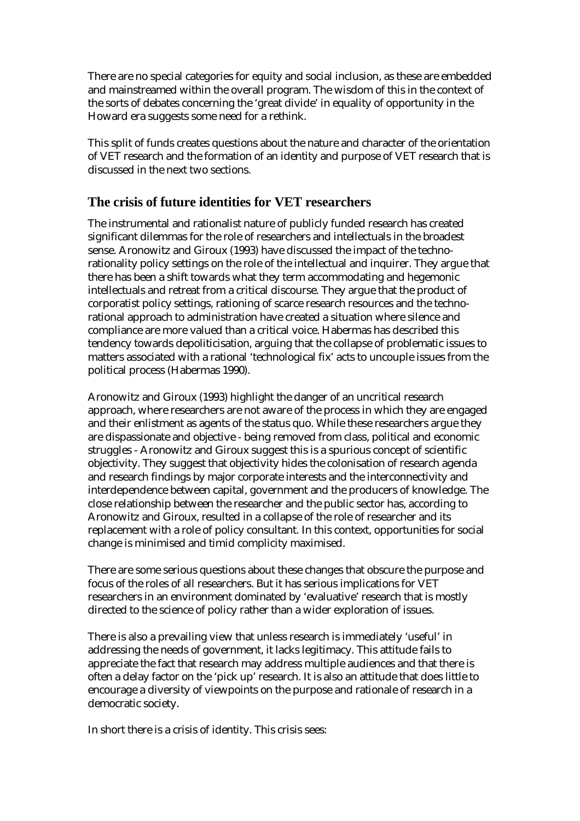There are no special categories for equity and social inclusion, as these are embedded and mainstreamed within the overall program. The wisdom of this in the context of the sorts of debates concerning the 'great divide' in equality of opportunity in the Howard era suggests some need for a rethink.

This split of funds creates questions about the nature and character of the orientation of VET research and the formation of an identity and purpose of VET research that is discussed in the next two sections.

## **The crisis of future identities for VET researchers**

The instrumental and rationalist nature of publicly funded research has created significant dilemmas for the role of researchers and intellectuals in the broadest sense. Aronowitz and Giroux (1993) have discussed the impact of the technorationality policy settings on the role of the intellectual and inquirer. They argue that there has been a shift towards what they term accommodating and hegemonic intellectuals and retreat from a critical discourse. They argue that the product of corporatist policy settings, rationing of scarce research resources and the technorational approach to administration have created a situation where silence and compliance are more valued than a critical voice. Habermas has described this tendency towards depoliticisation, arguing that the collapse of problematic issues to matters associated with a rational 'technological fix' acts to uncouple issues from the political process (Habermas 1990).

Aronowitz and Giroux (1993) highlight the danger of an uncritical research approach, where researchers are not aware of the process in which they are engaged and their enlistment as agents of the status quo. While these researchers argue they are dispassionate and objective - being removed from class, political and economic struggles - Aronowitz and Giroux suggest this is a spurious concept of scientific objectivity. They suggest that objectivity hides the colonisation of research agenda and research findings by major corporate interests and the interconnectivity and interdependence between capital, government and the producers of knowledge. The close relationship between the researcher and the public sector has, according to Aronowitz and Giroux, resulted in a collapse of the role of researcher and its replacement with a role of policy consultant. In this context, opportunities for social change is minimised and timid complicity maximised.

There are some serious questions about these changes that obscure the purpose and focus of the roles of all researchers. But it has serious implications for VET researchers in an environment dominated by 'evaluative' research that is mostly directed to the science of policy rather than a wider exploration of issues.

There is also a prevailing view that unless research is immediately 'useful' in addressing the needs of government, it lacks legitimacy. This attitude fails to appreciate the fact that research may address multiple audiences and that there is often a delay factor on the 'pick up' research. It is also an attitude that does little to encourage a diversity of viewpoints on the purpose and rationale of research in a democratic society.

In short there is a crisis of identity. This crisis sees: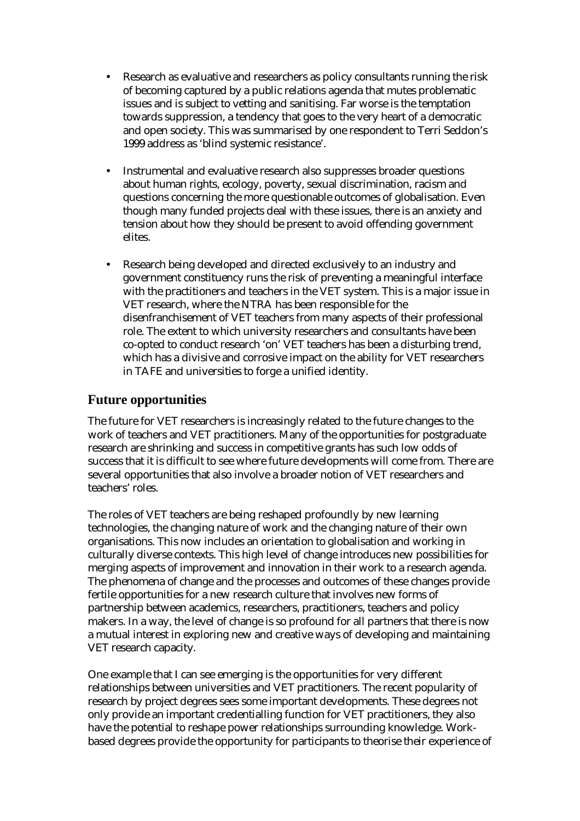- Research as evaluative and researchers as policy consultants running the risk of becoming captured by a public relations agenda that mutes problematic issues and is subject to vetting and sanitising. Far worse is the temptation towards suppression, a tendency that goes to the very heart of a democratic and open society. This was summarised by one respondent to Terri Seddon's 1999 address as 'blind systemic resistance'.
- Instrumental and evaluative research also suppresses broader questions about human rights, ecology, poverty, sexual discrimination, racism and questions concerning the more questionable outcomes of globalisation. Even though many funded projects deal with these issues, there is an anxiety and tension about how they should be present to avoid offending government elites.
- Research being developed and directed exclusively to an industry and government constituency runs the risk of preventing a meaningful interface with the practitioners and teachers in the VET system. This is a major issue in VET research, where the NTRA has been responsible for the disenfranchisement of VET teachers from many aspects of their professional role. The extent to which university researchers and consultants have been co-opted to conduct research 'on' VET teachers has been a disturbing trend, which has a divisive and corrosive impact on the ability for VET researchers in TAFE and universities to forge a unified identity.

## **Future opportunities**

The future for VET researchers is increasingly related to the future changes to the work of teachers and VET practitioners. Many of the opportunities for postgraduate research are shrinking and success in competitive grants has such low odds of success that it is difficult to see where future developments will come from. There are several opportunities that also involve a broader notion of VET researchers and teachers' roles.

The roles of VET teachers are being reshaped profoundly by new learning technologies, the changing nature of work and the changing nature of their own organisations. This now includes an orientation to globalisation and working in culturally diverse contexts. This high level of change introduces new possibilities for merging aspects of improvement and innovation in their work to a research agenda. The phenomena of change and the processes and outcomes of these changes provide fertile opportunities for a new research culture that involves new forms of partnership between academics, researchers, practitioners, teachers and policy makers. In a way, the level of change is so profound for all partners that there is now a mutual interest in exploring new and creative ways of developing and maintaining VET research capacity.

One example that I can see emerging is the opportunities for very different relationships between universities and VET practitioners. The recent popularity of research by project degrees sees some important developments. These degrees not only provide an important credentialling function for VET practitioners, they also have the potential to reshape power relationships surrounding knowledge. Workbased degrees provide the opportunity for participants to theorise their experience of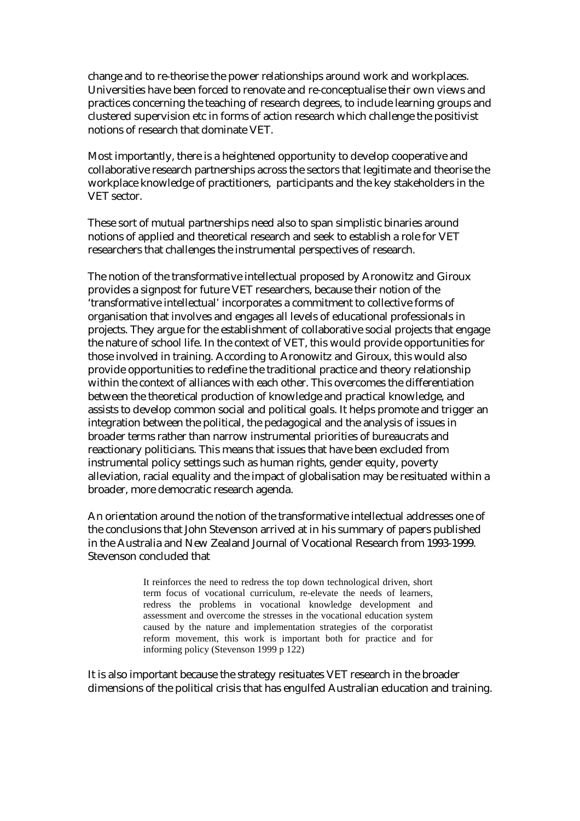change and to re-theorise the power relationships around work and workplaces. Universities have been forced to renovate and re-conceptualise their own views and practices concerning the teaching of research degrees, to include learning groups and clustered supervision etc in forms of action research which challenge the positivist notions of research that dominate VET.

Most importantly, there is a heightened opportunity to develop cooperative and collaborative research partnerships across the sectors that legitimate and theorise the workplace knowledge of practitioners, participants and the key stakeholders in the VET sector.

These sort of mutual partnerships need also to span simplistic binaries around notions of applied and theoretical research and seek to establish a role for VET researchers that challenges the instrumental perspectives of research.

The notion of the transformative intellectual proposed by Aronowitz and Giroux provides a signpost for future VET researchers, because their notion of the 'transformative intellectual' incorporates a commitment to collective forms of organisation that involves and engages all levels of educational professionals in projects. They argue for the establishment of collaborative social projects that engage the nature of school life. In the context of VET, this would provide opportunities for those involved in training. According to Aronowitz and Giroux, this would also provide opportunities to redefine the traditional practice and theory relationship within the context of alliances with each other. This overcomes the differentiation between the theoretical production of knowledge and practical knowledge, and assists to develop common social and political goals. It helps promote and trigger an integration between the political, the pedagogical and the analysis of issues in broader terms rather than narrow instrumental priorities of bureaucrats and reactionary politicians. This means that issues that have been excluded from instrumental policy settings such as human rights, gender equity, poverty alleviation, racial equality and the impact of globalisation may be resituated within a broader, more democratic research agenda.

An orientation around the notion of the transformative intellectual addresses one of the conclusions that John Stevenson arrived at in his summary of papers published in the Australia and New Zealand Journal of Vocational Research from 1993-1999. Stevenson concluded that

> It reinforces the need to redress the top down technological driven, short term focus of vocational curriculum, re-elevate the needs of learners, redress the problems in vocational knowledge development and assessment and overcome the stresses in the vocational education system caused by the nature and implementation strategies of the corporatist reform movement, this work is important both for practice and for informing policy (Stevenson 1999 p 122)

It is also important because the strategy resituates VET research in the broader dimensions of the political crisis that has engulfed Australian education and training.